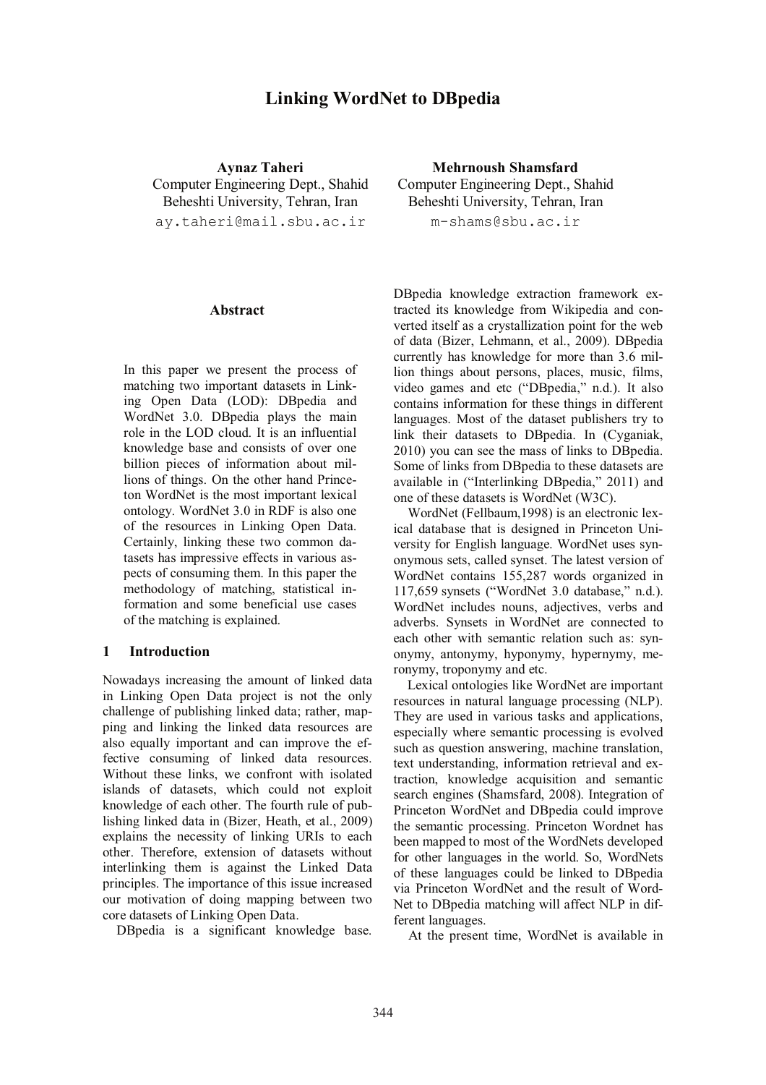# **Linking WordNet to DBpedia**

**Aynaz Taheri**  Computer Engineering Dept., Shahid Beheshti University, Tehran, Iran ay.taheri@mail.sbu.ac.ir

#### **Abstract**

In this paper we present the process of matching two important datasets in Linking Open Data (LOD): DBpedia and WordNet 3.0. DBpedia plays the main role in the LOD cloud. It is an influential knowledge base and consists of over one billion pieces of information about millions of things. On the other hand Princeton WordNet is the most important lexical ontology. WordNet 3.0 in RDF is also one of the resources in Linking Open Data. Certainly, linking these two common datasets has impressive effects in various aspects of consuming them. In this paper the methodology of matching, statistical information and some beneficial use cases of the matching is explained.

#### **1 Introduction**

Nowadays increasing the amount of linked data in Linking Open Data project is not the only challenge of publishing linked data; rather, mapping and linking the linked data resources are also equally important and can improve the effective consuming of linked data resources. Without these links, we confront with isolated islands of datasets, which could not exploit knowledge of each other. The fourth rule of publishing linked data in (Bizer, Heath, et al., 2009) explains the necessity of linking URIs to each other. Therefore, extension of datasets without interlinking them is against the Linked Data principles. The importance of this issue increased our motivation of doing mapping between two core datasets of Linking Open Data.

DBpedia is a significant knowledge base.

**Mehrnoush Shamsfard**  Computer Engineering Dept., Shahid Beheshti University, Tehran, Iran m-shams@sbu.ac.ir

DBpedia knowledge extraction framework extracted its knowledge from Wikipedia and converted itself as a crystallization point for the web of data (Bizer, Lehmann, et al., 2009). DBpedia currently has knowledge for more than 3.6 million things about persons, places, music, films, video games and etc ("DBpedia," n.d.). It also contains information for these things in different languages. Most of the dataset publishers try to link their datasets to DBpedia. In (Cyganiak, 2010) you can see the mass of links to DBpedia. Some of links from DBpedia to these datasets are available in ("Interlinking DBpedia," 2011) and one of these datasets is WordNet (W3C).

WordNet (Fellbaum,1998) is an electronic lexical database that is designed in Princeton University for English language. WordNet uses synonymous sets, called synset. The latest version of WordNet contains 155,287 words organized in 117,659 synsets ("WordNet 3.0 database," n.d.). WordNet includes nouns, adjectives, verbs and adverbs. Synsets in WordNet are connected to each other with semantic relation such as: synonymy, antonymy, hyponymy, hypernymy, meronymy, troponymy and etc.

Lexical ontologies like WordNet are important resources in natural language processing (NLP). They are used in various tasks and applications, especially where semantic processing is evolved such as question answering, machine translation, text understanding, information retrieval and extraction, knowledge acquisition and semantic search engines (Shamsfard, 2008). Integration of Princeton WordNet and DBpedia could improve the semantic processing. Princeton Wordnet has been mapped to most of the WordNets developed for other languages in the world. So, WordNets of these languages could be linked to DBpedia via Princeton WordNet and the result of Word-Net to DBpedia matching will affect NLP in different languages.

At the present time, WordNet is available in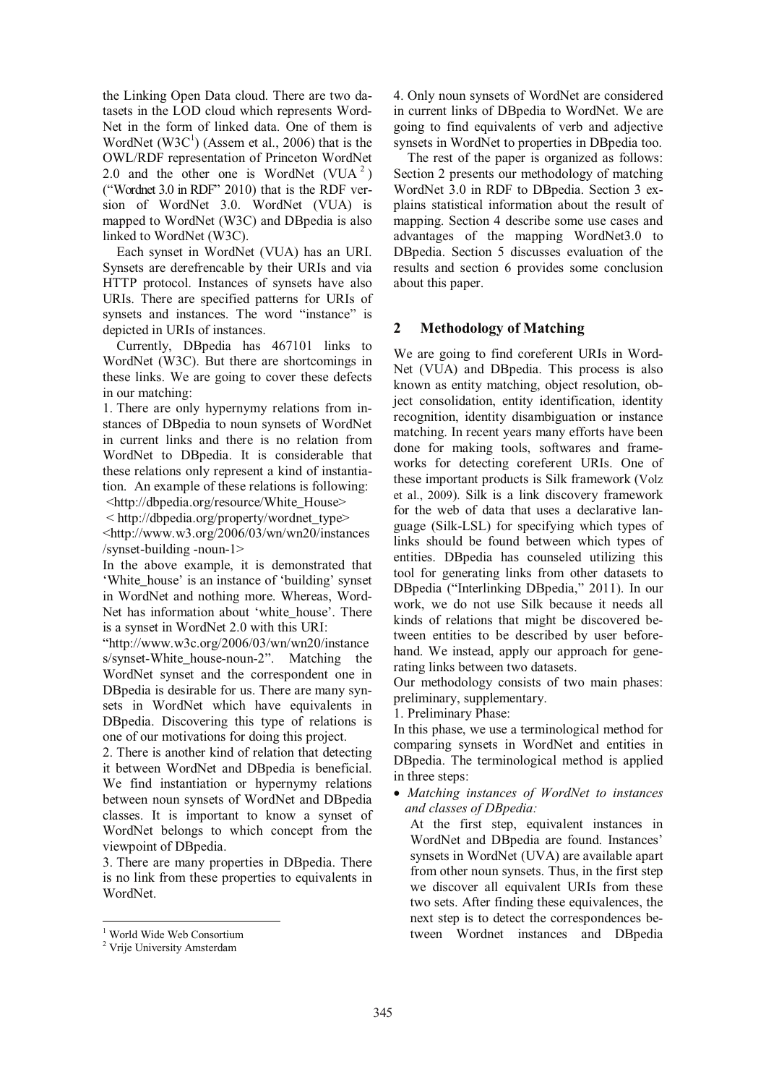the Linking Open Data cloud. There are two datasets in the LOD cloud which represents Word-Net in the form of linked data. One of them is WordNet  $(W3C<sup>1</sup>)$  (Assem et al., 2006) that is the OWL/RDF representation of Princeton WordNet 2.0 and the other one is WordNet  $(VUA<sup>2</sup>)$ ("Wordnet 3.0 in RDF" 2010) that is the RDF version of WordNet 3.0. WordNet (VUA) is mapped to WordNet (W3C) and DBpedia is also linked to WordNet (W3C).

Each synset in WordNet (VUA) has an URI. Synsets are derefrencable by their URIs and via HTTP protocol. Instances of synsets have also URIs. There are specified patterns for URIs of synsets and instances. The word "instance" is depicted in URIs of instances.

Currently, DBpedia has 467101 links to WordNet (W3C). But there are shortcomings in these links. We are going to cover these defects in our matching:

1. There are only hypernymy relations from instances of DBpedia to noun synsets of WordNet in current links and there is no relation from WordNet to DBpedia. It is considerable that these relations only represent a kind of instantiation. An example of these relations is following:

<http://dbpedia.org/resource/White\_House>

 < http://dbpedia.org/property/wordnet\_type> <http://www.w3.org/2006/03/wn/wn20/instances /synset-building -noun-1>

In the above example, it is demonstrated that 'White\_house' is an instance of 'building' synset in WordNet and nothing more. Whereas, Word-Net has information about 'white house'. There is a synset in WordNet 2.0 with this URI:

"http://www.w3c.org/2006/03/wn/wn20/instance s/synset-White\_house-noun-2". Matching the WordNet synset and the correspondent one in DBpedia is desirable for us. There are many synsets in WordNet which have equivalents in DBpedia. Discovering this type of relations is one of our motivations for doing this project.

2. There is another kind of relation that detecting it between WordNet and DBpedia is beneficial. We find instantiation or hypernymy relations between noun synsets of WordNet and DBpedia classes. It is important to know a synset of WordNet belongs to which concept from the viewpoint of DBpedia.

3. There are many properties in DBpedia. There is no link from these properties to equivalents in WordNet.

4. Only noun synsets of WordNet are considered in current links of DBpedia to WordNet. We are going to find equivalents of verb and adjective synsets in WordNet to properties in DBpedia too.

The rest of the paper is organized as follows: Section 2 presents our methodology of matching WordNet 3.0 in RDF to DBpedia. Section 3 explains statistical information about the result of mapping. Section 4 describe some use cases and advantages of the mapping WordNet3.0 to DBpedia. Section 5 discusses evaluation of the results and section 6 provides some conclusion about this paper.

### **2 Methodology of Matching**

We are going to find coreferent URIs in Word-Net (VUA) and DBpedia. This process is also known as entity matching, object resolution, object consolidation, entity identification, identity recognition, identity disambiguation or instance matching. In recent years many efforts have been done for making tools, softwares and frameworks for detecting coreferent URIs. One of these important products is Silk framework (Volz et al., 2009). Silk is a link discovery framework for the web of data that uses a declarative language (Silk-LSL) for specifying which types of links should be found between which types of entities. DBpedia has counseled utilizing this tool for generating links from other datasets to DBpedia ("Interlinking DBpedia," 2011). In our work, we do not use Silk because it needs all kinds of relations that might be discovered between entities to be described by user beforehand. We instead, apply our approach for generating links between two datasets.

Our methodology consists of two main phases: preliminary, supplementary.

1. Preliminary Phase:

In this phase, we use a terminological method for comparing synsets in WordNet and entities in DBpedia. The terminological method is applied in three steps:

• *Matching instances of WordNet to instances and classes of DBpedia:*

At the first step, equivalent instances in WordNet and DBpedia are found. Instances' synsets in WordNet (UVA) are available apart from other noun synsets. Thus, in the first step we discover all equivalent URIs from these two sets. After finding these equivalences, the next step is to detect the correspondences between Wordnet instances and DBpedia

<sup>&</sup>lt;sup>1</sup> World Wide Web Consortium

<sup>&</sup>lt;sup>2</sup> Vrije University Amsterdam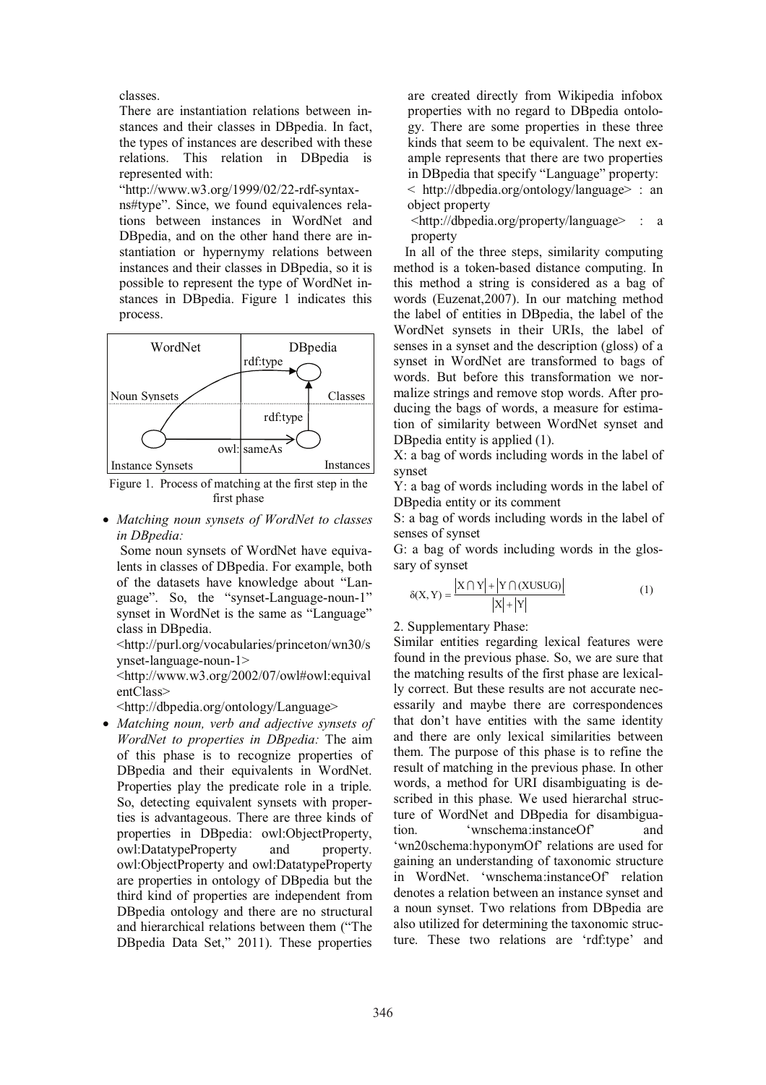classes.

There are instantiation relations between instances and their classes in DBpedia. In fact, the types of instances are described with these relations. This relation in DBpedia is represented with:

"http://www.w3.org/1999/02/22-rdf-syntax-

ns#type". Since, we found equivalences relations between instances in WordNet and DBpedia, and on the other hand there are instantiation or hypernymy relations between instances and their classes in DBpedia, so it is possible to represent the type of WordNet instances in DBpedia. Figure 1 indicates this process.



Figure 1. Process of matching at the first step in the first phase

• *Matching noun synsets of WordNet to classes in DBpedia:*

Some noun synsets of WordNet have equivalents in classes of DBpedia. For example, both of the datasets have knowledge about "Language". So, the "synset-Language-noun-1" synset in WordNet is the same as "Language" class in DBpedia.

<http://purl.org/vocabularies/princeton/wn30/s ynset-language-noun-1>

<http://www.w3.org/2002/07/owl#owl:equival entClass>

<http://dbpedia.org/ontology/Language>

• *Matching noun, verb and adjective synsets of WordNet to properties in DBpedia:* The aim of this phase is to recognize properties of DBpedia and their equivalents in WordNet. Properties play the predicate role in a triple. So, detecting equivalent synsets with properties is advantageous. There are three kinds of properties in DBpedia: owl:ObjectProperty, owl:DatatypeProperty and property. owl:ObjectProperty and owl:DatatypeProperty are properties in ontology of DBpedia but the third kind of properties are independent from DBpedia ontology and there are no structural and hierarchical relations between them ("The DBpedia Data Set," 2011). These properties

are created directly from Wikipedia infobox properties with no regard to DBpedia ontology. There are some properties in these three kinds that seem to be equivalent. The next example represents that there are two properties in DBpedia that specify "Language" property: < http://dbpedia.org/ontology/language> : an object property

 $\langle \text{http://dbpedia.org/property/language} \rangle$ property

In all of the three steps, similarity computing method is a token-based distance computing. In this method a string is considered as a bag of words (Euzenat,2007). In our matching method the label of entities in DBpedia, the label of the WordNet synsets in their URIs, the label of senses in a synset and the description (gloss) of a synset in WordNet are transformed to bags of words. But before this transformation we normalize strings and remove stop words. After producing the bags of words, a measure for estimation of similarity between WordNet synset and DBpedia entity is applied (1).

X: a bag of words including words in the label of synset

Y: a bag of words including words in the label of DBpedia entity or its comment

S: a bag of words including words in the label of senses of synset

G: a bag of words including words in the glossary of synset

$$
\delta(X, Y) = \frac{|X \cap Y| + |Y \cap (XUSUG)|}{|X| + |Y|}
$$
 (1)

2. Supplementary Phase:

Similar entities regarding lexical features were found in the previous phase. So, we are sure that the matching results of the first phase are lexically correct. But these results are not accurate necessarily and maybe there are correspondences that don't have entities with the same identity and there are only lexical similarities between them. The purpose of this phase is to refine the result of matching in the previous phase. In other words, a method for URI disambiguating is described in this phase. We used hierarchal structure of WordNet and DBpedia for disambiguation. 'wnschema:instanceOf' and 'wn20schema:hyponymOf' relations are used for gaining an understanding of taxonomic structure in WordNet. 'wnschema:instanceOf' relation denotes a relation between an instance synset and a noun synset. Two relations from DBpedia are also utilized for determining the taxonomic structure. These two relations are 'rdf:type' and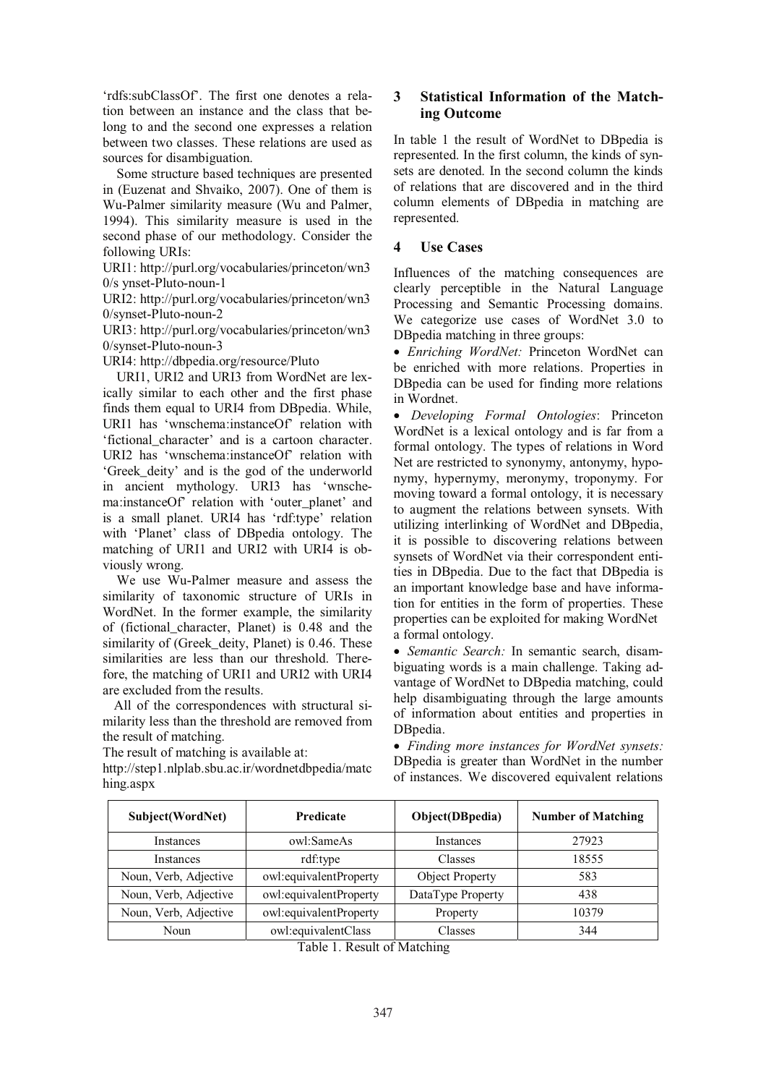'rdfs:subClassOf'. The first one denotes a relation between an instance and the class that belong to and the second one expresses a relation between two classes. These relations are used as sources for disambiguation.

Some structure based techniques are presented in (Euzenat and Shvaiko, 2007). One of them is Wu-Palmer similarity measure (Wu and Palmer, 1994). This similarity measure is used in the second phase of our methodology. Consider the following URIs:

URI1: http://purl.org/vocabularies/princeton/wn3 0/s ynset-Pluto-noun-1

URI2: http://purl.org/vocabularies/princeton/wn3 0/synset-Pluto-noun-2

URI3: http://purl.org/vocabularies/princeton/wn3 0/synset-Pluto-noun-3

URI4: http://dbpedia.org/resource/Pluto

URI1, URI2 and URI3 from WordNet are lexically similar to each other and the first phase finds them equal to URI4 from DBpedia. While, URI1 has 'wnschema:instanceOf' relation with 'fictional\_character' and is a cartoon character. URI2 has 'wnschema:instanceOf' relation with 'Greek\_deity' and is the god of the underworld in ancient mythology. URI3 has 'wnschema:instanceOf' relation with 'outer\_planet' and is a small planet. URI4 has 'rdf:type' relation with 'Planet' class of DBpedia ontology. The matching of URI1 and URI2 with URI4 is obviously wrong.

We use Wu-Palmer measure and assess the similarity of taxonomic structure of URIs in WordNet. In the former example, the similarity of (fictional\_character, Planet) is 0.48 and the similarity of (Greek deity, Planet) is 0.46. These similarities are less than our threshold. Therefore, the matching of URI1 and URI2 with URI4 are excluded from the results.

All of the correspondences with structural similarity less than the threshold are removed from the result of matching.

The result of matching is available at:

http://step1.nlplab.sbu.ac.ir/wordnetdbpedia/matc hing.aspx

# **3 Statistical Information of the Matching Outcome**

In table 1 the result of WordNet to DBpedia is represented. In the first column, the kinds of synsets are denoted. In the second column the kinds of relations that are discovered and in the third column elements of DBpedia in matching are represented.

# **4 Use Cases**

Influences of the matching consequences are clearly perceptible in the Natural Language Processing and Semantic Processing domains. We categorize use cases of WordNet 3.0 to DBpedia matching in three groups:

• *Enriching WordNet:* Princeton WordNet can be enriched with more relations. Properties in DBpedia can be used for finding more relations in Wordnet.

• *Developing Formal Ontologies*: Princeton WordNet is a lexical ontology and is far from a formal ontology. The types of relations in Word Net are restricted to synonymy, antonymy, hyponymy, hypernymy, meronymy, troponymy. For moving toward a formal ontology, it is necessary to augment the relations between synsets. With utilizing interlinking of WordNet and DBpedia, it is possible to discovering relations between synsets of WordNet via their correspondent entities in DBpedia. Due to the fact that DBpedia is an important knowledge base and have information for entities in the form of properties. These properties can be exploited for making WordNet a formal ontology.

• *Semantic Search:* In semantic search, disambiguating words is a main challenge. Taking advantage of WordNet to DBpedia matching, could help disambiguating through the large amounts of information about entities and properties in DBpedia.

• *Finding more instances for WordNet synsets:*  DBpedia is greater than WordNet in the number of instances. We discovered equivalent relations

| Subject(WordNet)      | <b>Predicate</b>       | Object(DBpedia)        | <b>Number of Matching</b> |
|-----------------------|------------------------|------------------------|---------------------------|
| <b>Instances</b>      | owl:SameAs             | <b>Instances</b>       | 27923                     |
| <b>Instances</b>      | rdf:type               | Classes                | 18555                     |
| Noun, Verb, Adjective | owl:equivalentProperty | <b>Object Property</b> | 583                       |
| Noun, Verb, Adjective | owl:equivalentProperty | DataType Property      | 438                       |
| Noun, Verb, Adjective | owl:equivalentProperty | Property               | 10379                     |
| Noun                  | owl:equivalentClass    | Classes                | 344                       |

Table 1. Result of Matching